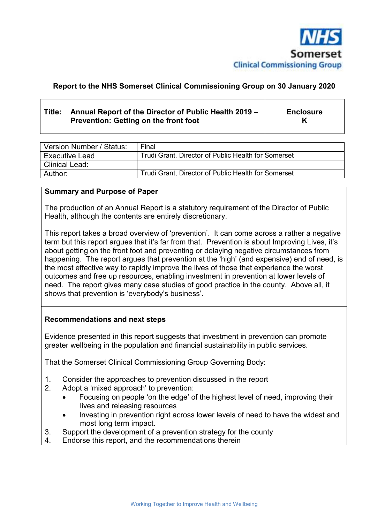

#### **Report to the NHS Somerset Clinical Commissioning Group on 30 January 2020**

#### **Title: Annual Report of the Director of Public Health 2019 – Prevention: Getting on the front foot Enclosure K**

| Version Number / Status: | Final                                               |
|--------------------------|-----------------------------------------------------|
| <b>Executive Lead</b>    | Trudi Grant, Director of Public Health for Somerset |
| Clinical Lead:           |                                                     |
| Author:                  | Trudi Grant, Director of Public Health for Somerset |

#### **Summary and Purpose of Paper**

The production of an Annual Report is a statutory requirement of the Director of Public Health, although the contents are entirely discretionary.

This report takes a broad overview of 'prevention'. It can come across a rather a negative term but this report argues that it's far from that. Prevention is about Improving Lives, it's about getting on the front foot and preventing or delaying negative circumstances from happening. The report argues that prevention at the 'high' (and expensive) end of need, is the most effective way to rapidly improve the lives of those that experience the worst outcomes and free up resources, enabling investment in prevention at lower levels of need. The report gives many case studies of good practice in the county. Above all, it shows that prevention is 'everybody's business'.

#### **Recommendations and next steps**

Evidence presented in this report suggests that investment in prevention can promote greater wellbeing in the population and financial sustainability in public services.

That the Somerset Clinical Commissioning Group Governing Body:

- 1. Consider the approaches to prevention discussed in the report
- 2. Adopt a 'mixed approach' to prevention:
	- Focusing on people 'on the edge' of the highest level of need, improving their lives and releasing resources
	- Investing in prevention right across lower levels of need to have the widest and most long term impact.
- 3. Support the development of a prevention strategy for the county
- 4. Endorse this report, and the recommendations therein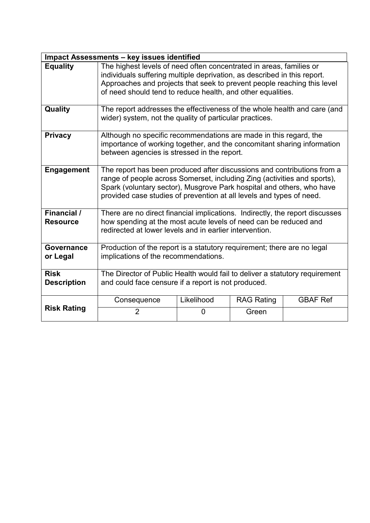|                                   | <b>Impact Assessments - key issues identified</b>                                                                                                                                                                                                                                                    |            |                   |                 |  |  |  |  |
|-----------------------------------|------------------------------------------------------------------------------------------------------------------------------------------------------------------------------------------------------------------------------------------------------------------------------------------------------|------------|-------------------|-----------------|--|--|--|--|
| <b>Equality</b>                   | The highest levels of need often concentrated in areas, families or<br>individuals suffering multiple deprivation, as described in this report.<br>Approaches and projects that seek to prevent people reaching this level<br>of need should tend to reduce health, and other equalities.            |            |                   |                 |  |  |  |  |
| Quality                           | The report addresses the effectiveness of the whole health and care (and<br>wider) system, not the quality of particular practices.                                                                                                                                                                  |            |                   |                 |  |  |  |  |
| <b>Privacy</b>                    | Although no specific recommendations are made in this regard, the<br>importance of working together, and the concomitant sharing information<br>between agencies is stressed in the report.                                                                                                          |            |                   |                 |  |  |  |  |
| <b>Engagement</b>                 | The report has been produced after discussions and contributions from a<br>range of people across Somerset, including Zing (activities and sports),<br>Spark (voluntary sector), Musgrove Park hospital and others, who have<br>provided case studies of prevention at all levels and types of need. |            |                   |                 |  |  |  |  |
| Financial /<br><b>Resource</b>    | There are no direct financial implications. Indirectly, the report discusses<br>how spending at the most acute levels of need can be reduced and<br>redirected at lower levels and in earlier intervention.                                                                                          |            |                   |                 |  |  |  |  |
| Governance<br>or Legal            | Production of the report is a statutory requirement; there are no legal<br>implications of the recommendations.                                                                                                                                                                                      |            |                   |                 |  |  |  |  |
| <b>Risk</b><br><b>Description</b> | The Director of Public Health would fail to deliver a statutory requirement<br>and could face censure if a report is not produced.                                                                                                                                                                   |            |                   |                 |  |  |  |  |
|                                   | Consequence                                                                                                                                                                                                                                                                                          | Likelihood | <b>RAG Rating</b> | <b>GBAF Ref</b> |  |  |  |  |
| <b>Risk Rating</b>                | $\overline{2}$                                                                                                                                                                                                                                                                                       | 0          | Green             |                 |  |  |  |  |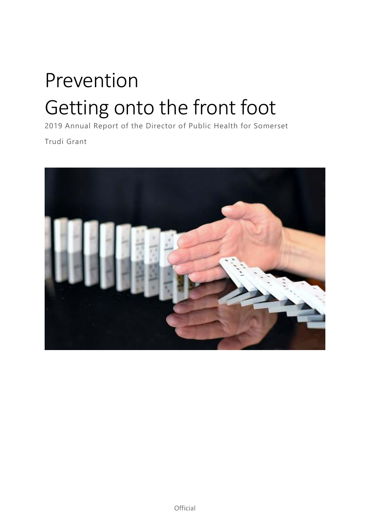# Prevention Getting onto the front foot

2019 Annual Report of the Director of Public Health for Somerset

Trudi Grant

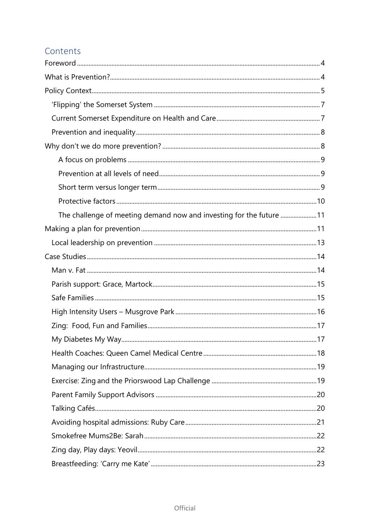## Contents

| The challenge of meeting demand now and investing for the future 11 |  |
|---------------------------------------------------------------------|--|
|                                                                     |  |
|                                                                     |  |
|                                                                     |  |
|                                                                     |  |
|                                                                     |  |
|                                                                     |  |
|                                                                     |  |
|                                                                     |  |
|                                                                     |  |
|                                                                     |  |
|                                                                     |  |
|                                                                     |  |
|                                                                     |  |
|                                                                     |  |
|                                                                     |  |
|                                                                     |  |
|                                                                     |  |
|                                                                     |  |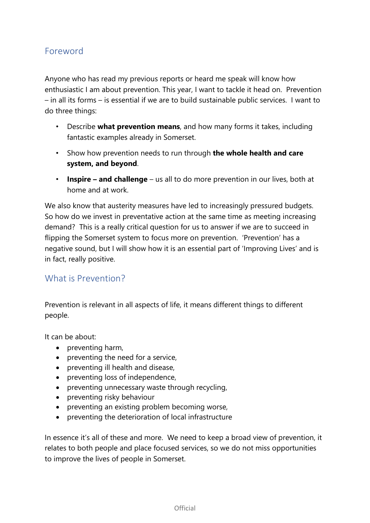## Foreword

Anyone who has read my previous reports or heard me speak will know how enthusiastic I am about prevention. This year, I want to tackle it head on. Prevention – in all its forms – is essential if we are to build sustainable public services. I want to do three things:

- Describe **what prevention means**, and how many forms it takes, including fantastic examples already in Somerset.
- Show how prevention needs to run through **the whole health and care system, and beyond**.
- **Inspire and challenge**  us all to do more prevention in our lives, both at home and at work.

We also know that austerity measures have led to increasingly pressured budgets. So how do we invest in preventative action at the same time as meeting increasing demand? This is a really critical question for us to answer if we are to succeed in flipping the Somerset system to focus more on prevention. 'Prevention' has a negative sound, but I will show how it is an essential part of 'Improving Lives' and is in fact, really positive.

### What is Prevention?

Prevention is relevant in all aspects of life, it means different things to different people.

It can be about:

- preventing harm,
- preventing the need for a service,
- preventing ill health and disease,
- preventing loss of independence,
- preventing unnecessary waste through recycling,
- preventing risky behaviour
- preventing an existing problem becoming worse,
- preventing the deterioration of local infrastructure

In essence it's all of these and more. We need to keep a broad view of prevention, it relates to both people and place focused services, so we do not miss opportunities to improve the lives of people in Somerset.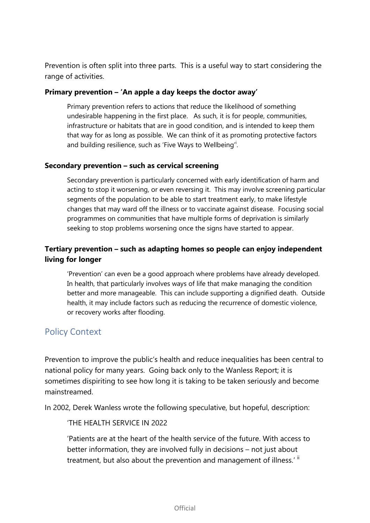Prevention is often split into three parts. This is a useful way to start considering the range of activities.

#### **Primary prevention – 'An apple a day keeps the doctor away'**

Primary prevention refers to actions that reduce the likelihood of something undesirable happening in the first place. As such, it is for people, communities, infrastructure or habitats that are in good condition, and is intended to keep them that way for as long as possible. We can think of it as promoting protective factors and building resilience, such as 'Five Ways to Wellbeing'.

#### **Secondary prevention – such as cervical screening**

Secondary prevention is particularly concerned with early identification of harm and acting to stop it worsening, or even reversing it. This may involve screening particular segments of the population to be able to start treatment early, to make lifestyle changes that may ward off the illness or to vaccinate against disease. Focusing social programmes on communities that have multiple forms of deprivation is similarly seeking to stop problems worsening once the signs have started to appear.

## **Tertiary prevention – such as adapting homes so people can enjoy independent living for longer**

'Prevention' can even be a good approach where problems have already developed. In health, that particularly involves ways of life that make managing the condition better and more manageable. This can include supporting a dignified death. Outside health, it may include factors such as reducing the recurrence of domestic violence, or recovery works after flooding.

## Policy Context

Prevention to improve the public's health and reduce inequalities has been central to national policy for many years. Going back only to the Wanless Report; it is sometimes dispiriting to see how long it is taking to be taken seriously and become mainstreamed.

In 2002, Derek Wanless wrote the following speculative, but hopeful, description:

#### 'THE HEALTH SERVICE IN 2022

'Patients are at the heart of the health service of the future. With access to better information, they are involved fully in decisions – not just about treatment, but also about the prevention and management of illness.' ii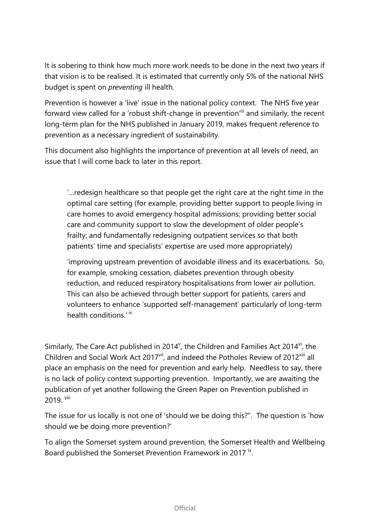It is sobering to think how much more work needs to be done in the next two years if that vision is to be realised. It is estimated that currently only 5% of the national NHS budget is spent on *preventing* ill health.

Prevention is however a 'live' issue in the national policy context. The NHS five year forward view called for a 'robust shift-change in prevention'ill and similarly, the recent long-term plan for the NHS published in January 2019, makes frequent reference to prevention as a necessary ingredient of sustainability.

This document also highlights the importance of prevention at all levels of need, an issue that I will come back to later in this report.

'…redesign healthcare so that people get the right care at the right time in the optimal care setting (for example, providing better support to people living in care homes to avoid emergency hospital admissions; providing better social care and community support to slow the development of older people's frailty; and fundamentally redesigning outpatient services so that both patients' time and specialists' expertise are used more appropriately)

'improving upstream prevention of avoidable illness and its exacerbations. So, for example, smoking cessation, diabetes prevention through obesity reduction, and reduced respiratory hospitalisations from lower air pollution. This can also be achieved through better support for patients, carers and volunteers to enhance 'supported self-management' particularly of long-term health conditions.<sup>' iv</sup>

Similarly, The Care Act published in 2014 $^{\circ}$ , the Children and Families Act 2014 $^{\circ}$ , the Children and Social Work Act 2017<sup>vii</sup>, and indeed the Potholes Review of 2012<sup>xiii</sup> all place an emphasis on the need for prevention and early help. Needless to say, there is no lack of policy context supporting prevention. Importantly, we are awaiting the publication of yet another following the Green Paper on Prevention published in 2019 viii

The issue for us locally is not one of 'should we be doing this?". The question is 'how should we be doing more prevention?'

To align the Somerset system around prevention, the Somerset Health and Wellbeing Board published the Somerset Prevention Framework in 2017<sup>ix</sup>.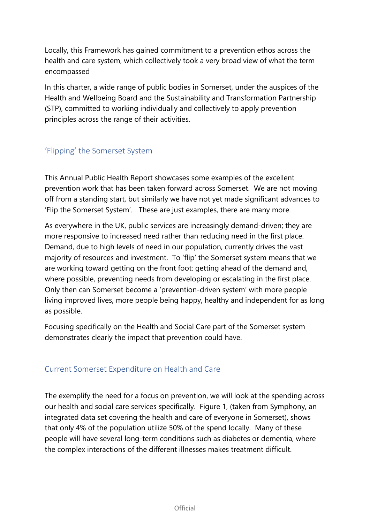Locally, this Framework has gained commitment to a prevention ethos across the health and care system, which collectively took a very broad view of what the term encompassed

In this charter, a wide range of public bodies in Somerset, under the auspices of the Health and Wellbeing Board and the Sustainability and Transformation Partnership (STP), committed to working individually and collectively to apply prevention principles across the range of their activities.

## 'Flipping' the Somerset System

This Annual Public Health Report showcases some examples of the excellent prevention work that has been taken forward across Somerset. We are not moving off from a standing start, but similarly we have not yet made significant advances to 'Flip the Somerset System'. These are just examples, there are many more.

As everywhere in the UK, public services are increasingly demand-driven; they are more responsive to increased need rather than reducing need in the first place. Demand, due to high levels of need in our population, currently drives the vast majority of resources and investment. To 'flip' the Somerset system means that we are working toward getting on the front foot: getting ahead of the demand and, where possible, preventing needs from developing or escalating in the first place. Only then can Somerset become a 'prevention-driven system' with more people living improved lives, more people being happy, healthy and independent for as long as possible.

Focusing specifically on the Health and Social Care part of the Somerset system demonstrates clearly the impact that prevention could have.

## Current Somerset Expenditure on Health and Care

The exemplify the need for a focus on prevention, we will look at the spending across our health and social care services specifically. Figure 1, (taken from Symphony, an integrated data set covering the health and care of everyone in Somerset), shows that only 4% of the population utilize 50% of the spend locally. Many of these people will have several long-term conditions such as diabetes or dementia, where the complex interactions of the different illnesses makes treatment difficult.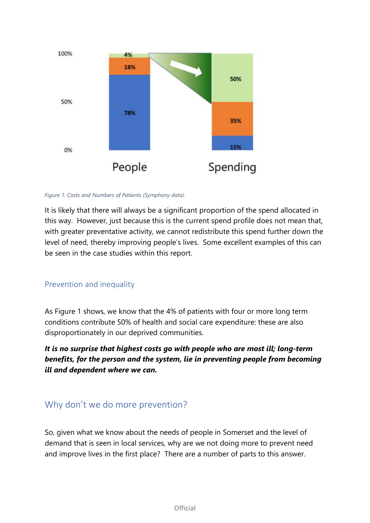

*Figure 1: Costs and Numbers of Patients (Symphony data).* 

It is likely that there will always be a significant proportion of the spend allocated in this way. However, just because this is the current spend profile does not mean that, with greater preventative activity, we cannot redistribute this spend further down the level of need, thereby improving people's lives. Some excellent examples of this can be seen in the case studies within this report.

### Prevention and inequality

As Figure 1 shows, we know that the 4% of patients with four or more long term conditions contribute 50% of health and social care expenditure: these are also disproportionately in our deprived communities.

*It is no surprise that highest costs go with people who are most ill; long-term benefits, for the person and the system, lie in preventing people from becoming ill and dependent where we can.*

## Why don't we do more prevention?

So, given what we know about the needs of people in Somerset and the level of demand that is seen in local services, why are we not doing more to prevent need and improve lives in the first place? There are a number of parts to this answer.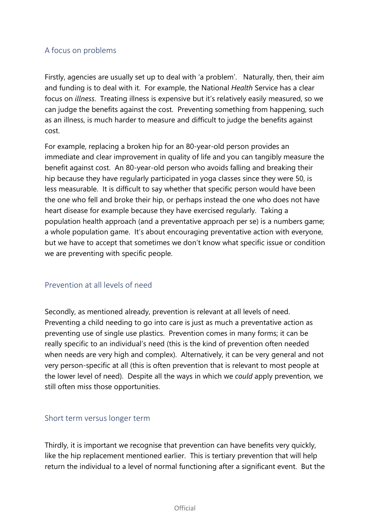### A focus on problems

Firstly, agencies are usually set up to deal with 'a problem'. Naturally, then, their aim and funding is to deal with it. For example, the National *Health* Service has a clear focus on *illness*. Treating illness is expensive but it's relatively easily measured, so we can judge the benefits against the cost. Preventing something from happening, such as an illness, is much harder to measure and difficult to judge the benefits against cost.

For example, replacing a broken hip for an 80-year-old person provides an immediate and clear improvement in quality of life and you can tangibly measure the benefit against cost. An 80-year-old person who avoids falling and breaking their hip because they have regularly participated in yoga classes since they were 50, is less measurable. It is difficult to say whether that specific person would have been the one who fell and broke their hip, or perhaps instead the one who does not have heart disease for example because they have exercised regularly. Taking a population health approach (and a preventative approach per se) is a numbers game; a whole population game. It's about encouraging preventative action with everyone, but we have to accept that sometimes we don't know what specific issue or condition we are preventing with specific people.

### Prevention at all levels of need

Secondly, as mentioned already, prevention is relevant at all levels of need. Preventing a child needing to go into care is just as much a preventative action as preventing use of single use plastics. Prevention comes in many forms; it can be really specific to an individual's need (this is the kind of prevention often needed when needs are very high and complex). Alternatively, it can be very general and not very person-specific at all (this is often prevention that is relevant to most people at the lower level of need). Despite all the ways in which we *could* apply prevention, we still often miss those opportunities.

#### Short term versus longer term

Thirdly, it is important we recognise that prevention can have benefits very quickly, like the hip replacement mentioned earlier. This is tertiary prevention that will help return the individual to a level of normal functioning after a significant event. But the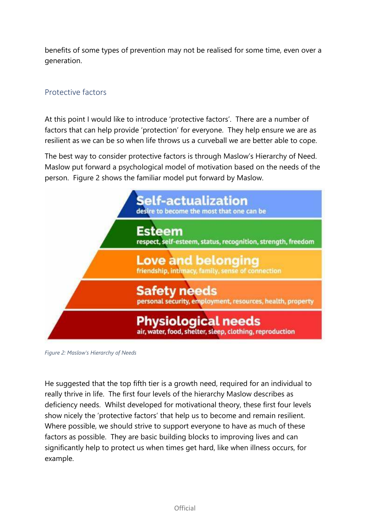benefits of some types of prevention may not be realised for some time, even over a generation.

## Protective factors

At this point I would like to introduce 'protective factors'. There are a number of factors that can help provide 'protection' for everyone. They help ensure we are as resilient as we can be so when life throws us a curveball we are better able to cope.

The best way to consider protective factors is through Maslow's Hierarchy of Need. Maslow put forward a psychological model of motivation based on the needs of the person. Figure 2 shows the familiar model put forward by Maslow.



*Figure 2: Maslow's Hierarchy of Needs* 

He suggested that the top fifth tier is a growth need, required for an individual to really thrive in life. The first four levels of the hierarchy Maslow describes as deficiency needs. Whilst developed for motivational theory, these first four levels show nicely the 'protective factors' that help us to become and remain resilient. Where possible, we should strive to support everyone to have as much of these factors as possible. They are basic building blocks to improving lives and can significantly help to protect us when times get hard, like when illness occurs, for example.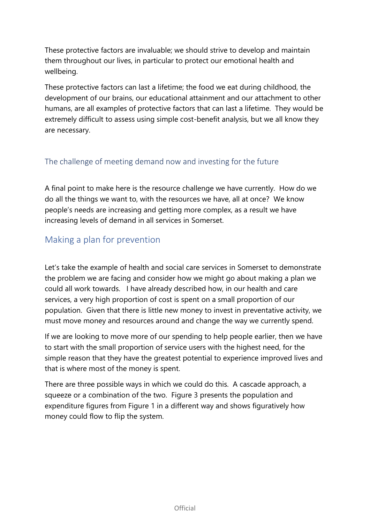These protective factors are invaluable; we should strive to develop and maintain them throughout our lives, in particular to protect our emotional health and wellbeing.

These protective factors can last a lifetime; the food we eat during childhood, the development of our brains, our educational attainment and our attachment to other humans, are all examples of protective factors that can last a lifetime. They would be extremely difficult to assess using simple cost-benefit analysis, but we all know they are necessary.

## The challenge of meeting demand now and investing for the future

A final point to make here is the resource challenge we have currently. How do we do all the things we want to, with the resources we have, all at once? We know people's needs are increasing and getting more complex, as a result we have increasing levels of demand in all services in Somerset.

## Making a plan for prevention

Let's take the example of health and social care services in Somerset to demonstrate the problem we are facing and consider how we might go about making a plan we could all work towards. I have already described how, in our health and care services, a very high proportion of cost is spent on a small proportion of our population. Given that there is little new money to invest in preventative activity, we must move money and resources around and change the way we currently spend.

If we are looking to move more of our spending to help people earlier, then we have to start with the small proportion of service users with the highest need, for the simple reason that they have the greatest potential to experience improved lives and that is where most of the money is spent.

There are three possible ways in which we could do this. A cascade approach, a squeeze or a combination of the two. Figure 3 presents the population and expenditure figures from Figure 1 in a different way and shows figuratively how money could flow to flip the system.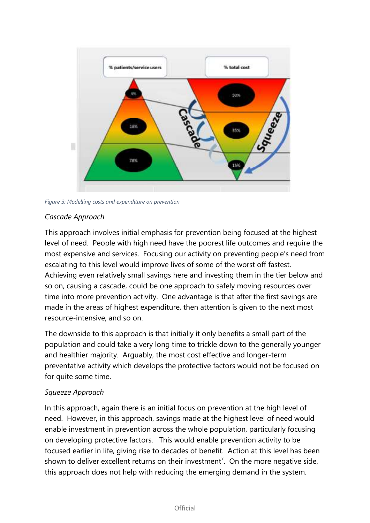

*Figure 3: Modelling costs and expenditure on prevention* 

#### *Cascade Approach*

This approach involves initial emphasis for prevention being focused at the highest level of need. People with high need have the poorest life outcomes and require the most expensive and services. Focusing our activity on preventing people's need from escalating to this level would improve lives of some of the worst off fastest. Achieving even relatively small savings here and investing them in the tier below and so on, causing a cascade, could be one approach to safely moving resources over time into more prevention activity. One advantage is that after the first savings are made in the areas of highest expenditure, then attention is given to the next most resource-intensive, and so on.

The downside to this approach is that initially it only benefits a small part of the population and could take a very long time to trickle down to the generally younger and healthier majority. Arguably, the most cost effective and longer-term preventative activity which develops the protective factors would not be focused on for quite some time.

#### *Squeeze Approach*

In this approach, again there is an initial focus on prevention at the high level of need. However, in this approach, savings made at the highest level of need would enable investment in prevention across the whole population, particularly focusing on developing protective factors. This would enable prevention activity to be focused earlier in life, giving rise to decades of benefit. Action at this level has been shown to deliver excellent returns on their investment<sup>x</sup>. On the more negative side, this approach does not help with reducing the emerging demand in the system.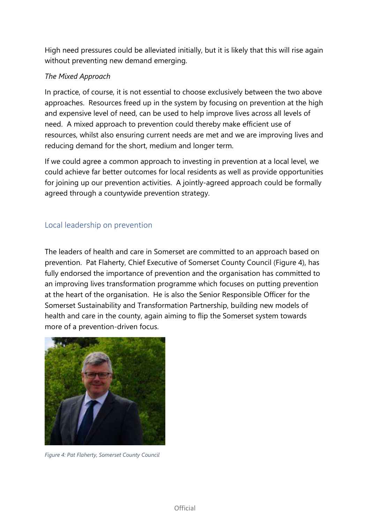High need pressures could be alleviated initially, but it is likely that this will rise again without preventing new demand emerging.

#### *The Mixed Approach*

In practice, of course, it is not essential to choose exclusively between the two above approaches. Resources freed up in the system by focusing on prevention at the high and expensive level of need, can be used to help improve lives across all levels of need. A mixed approach to prevention could thereby make efficient use of resources, whilst also ensuring current needs are met and we are improving lives and reducing demand for the short, medium and longer term.

If we could agree a common approach to investing in prevention at a local level, we could achieve far better outcomes for local residents as well as provide opportunities for joining up our prevention activities. A jointly-agreed approach could be formally agreed through a countywide prevention strategy.

## Local leadership on prevention

The leaders of health and care in Somerset are committed to an approach based on prevention. Pat Flaherty, Chief Executive of Somerset County Council (Figure 4), has fully endorsed the importance of prevention and the organisation has committed to an improving lives transformation programme which focuses on putting prevention at the heart of the organisation. He is also the Senior Responsible Officer for the Somerset Sustainability and Transformation Partnership, building new models of health and care in the county, again aiming to flip the Somerset system towards more of a prevention-driven focus.



*Figure 4: Pat Flaherty, Somerset County Council*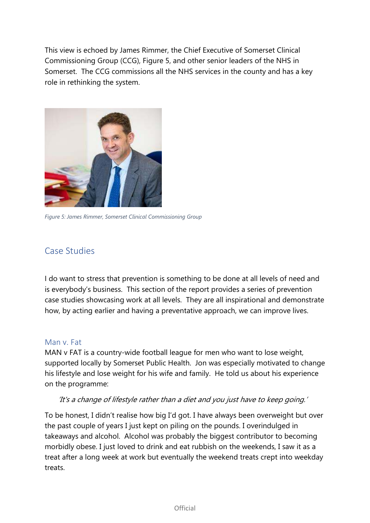This view is echoed by James Rimmer, the Chief Executive of Somerset Clinical Commissioning Group (CCG), Figure 5, and other senior leaders of the NHS in Somerset. The CCG commissions all the NHS services in the county and has a key role in rethinking the system.



*Figure 5: James Rimmer, Somerset Clinical Commissioning Group* 

## Case Studies

I do want to stress that prevention is something to be done at all levels of need and is everybody's business. This section of the report provides a series of prevention case studies showcasing work at all levels. They are all inspirational and demonstrate how, by acting earlier and having a preventative approach, we can improve lives.

#### Man v. Fat

MAN v FAT is a country-wide football league for men who want to lose weight, supported locally by Somerset Public Health. Jon was especially motivated to change his lifestyle and lose weight for his wife and family. He told us about his experience on the programme:

#### 'It's a change of lifestyle rather than a diet and you just have to keep going.'

To be honest, I didn't realise how big I'd got. I have always been overweight but over the past couple of years I just kept on piling on the pounds. I overindulged in takeaways and alcohol. Alcohol was probably the biggest contributor to becoming morbidly obese. I just loved to drink and eat rubbish on the weekends, I saw it as a treat after a long week at work but eventually the weekend treats crept into weekday treats.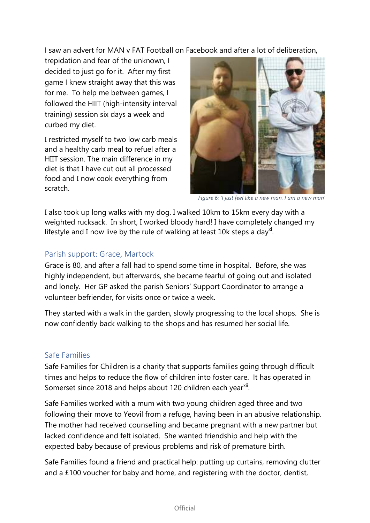I saw an advert for MAN v FAT Football on Facebook and after a lot of deliberation,

trepidation and fear of the unknown, I decided to just go for it. After my first game I knew straight away that this was for me. To help me between games, I followed the HIIT (high-intensity interval training) session six days a week and curbed my diet.

I restricted myself to two low carb meals and a healthy carb meal to refuel after a HIIT session. The main difference in my diet is that I have cut out all processed food and I now cook everything from scratch.



*Figure 6: 'I just feel like a new man. I am a new man'*

I also took up long walks with my dog. I walked 10km to 15km every day with a weighted rucksack. In short, I worked bloody hard! I have completely changed my lifestyle and I now live by the rule of walking at least  $10k$  steps a day<sup>xi</sup>.

### Parish support: Grace, Martock

Grace is 80, and after a fall had to spend some time in hospital. Before, she was highly independent, but afterwards, she became fearful of going out and isolated and lonely. Her GP asked the parish Seniors' Support Coordinator to arrange a volunteer befriender, for visits once or twice a week.

They started with a walk in the garden, slowly progressing to the local shops. She is now confidently back walking to the shops and has resumed her social life.

### Safe Families

Safe Families for Children is a charity that supports families going through difficult times and helps to reduce the flow of children into foster care. It has operated in Somerset since 2018 and helps about 120 children each year<sup>xii</sup>.

Safe Families worked with a mum with two young children aged three and two following their move to Yeovil from a refuge, having been in an abusive relationship. The mother had received counselling and became pregnant with a new partner but lacked confidence and felt isolated. She wanted friendship and help with the expected baby because of previous problems and risk of premature birth.

Safe Families found a friend and practical help: putting up curtains, removing clutter and a £100 voucher for baby and home, and registering with the doctor, dentist,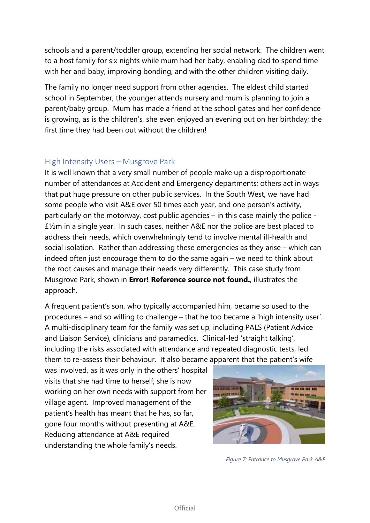schools and a parent/toddler group, extending her social network. The children went to a host family for six nights while mum had her baby, enabling dad to spend time with her and baby, improving bonding, and with the other children visiting daily.

The family no longer need support from other agencies. The eldest child started school in September; the younger attends nursery and mum is planning to join a parent/baby group. Mum has made a friend at the school gates and her confidence is growing, as is the children's, she even enjoyed an evening out on her birthday; the first time they had been out without the children!

#### High Intensity Users – Musgrove Park

It is well known that a very small number of people make up a disproportionate number of attendances at Accident and Emergency departments; others act in ways that put huge pressure on other public services. In the South West, we have had some people who visit A&E over 50 times each year, and one person's activity, particularly on the motorway, cost public agencies – in this case mainly the police - £½m in a single year. In such cases, neither A&E nor the police are best placed to address their needs, which overwhelmingly tend to involve mental ill-health and social isolation. Rather than addressing these emergencies as they arise – which can indeed often just encourage them to do the same again – we need to think about the root causes and manage their needs very differently. This case study from Musgrove Park, shown in **Error! Reference source not found.**, illustrates the approach.

A frequent patient's son, who typically accompanied him, became so used to the procedures – and so willing to challenge – that he too became a 'high intensity user'. A multi-disciplinary team for the family was set up, including PALS (Patient Advice and Liaison Service), clinicians and paramedics. Clinical-led 'straight talking', including the risks associated with attendance and repeated diagnostic tests, led them to re-assess their behaviour. It also became apparent that the patient's wife

was involved, as it was only in the others' hospital visits that she had time to herself; she is now working on her own needs with support from her village agent. Improved management of the patient's health has meant that he has, so far, gone four months without presenting at A&E. Reducing attendance at A&E required understanding the whole family's needs.



*Figure 7: Entrance to Musgrove Park A&E*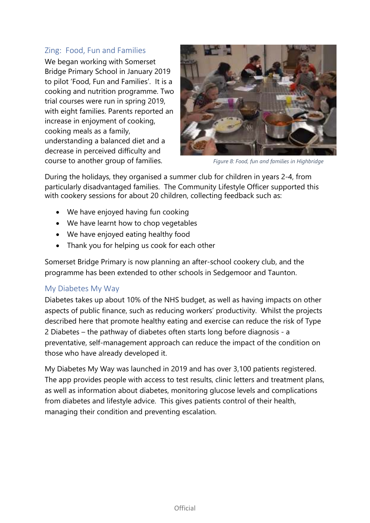#### Zing: Food, Fun and Families

We began working with Somerset Bridge Primary School in January 2019 to pilot 'Food, Fun and Families'. It is a cooking and nutrition programme. Two trial courses were run in spring 2019, with eight families. Parents reported an increase in enjoyment of cooking, cooking meals as a family, understanding a balanced diet and a decrease in perceived difficulty and course to another group of families. *Figure 8: Food, fun and families in Highbridge*



During the holidays, they organised a summer club for children in years 2-4, from particularly disadvantaged families. The Community Lifestyle Officer supported this with cookery sessions for about 20 children, collecting feedback such as:

- We have enjoyed having fun cooking
- We have learnt how to chop vegetables
- We have enjoyed eating healthy food
- Thank you for helping us cook for each other

Somerset Bridge Primary is now planning an after-school cookery club, and the programme has been extended to other schools in Sedgemoor and Taunton.

#### My Diabetes My Way

Diabetes takes up about 10% of the NHS budget, as well as having impacts on other aspects of public finance, such as reducing workers' productivity. Whilst the projects described here that promote healthy eating and exercise can reduce the risk of Type 2 Diabetes – the pathway of diabetes often starts long before diagnosis - a preventative, self-management approach can reduce the impact of the condition on those who have already developed it.

My Diabetes My Way was launched in 2019 and has over 3,100 patients registered. The app provides people with access to test results, clinic letters and treatment plans, as well as information about diabetes, monitoring glucose levels and complications from diabetes and lifestyle advice. This gives patients control of their health, managing their condition and preventing escalation.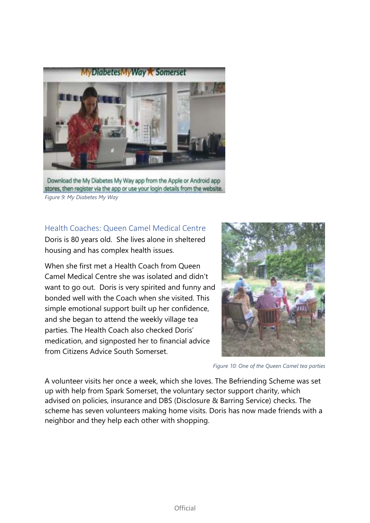

Download the My Diabetes My Way app from the Apple or Android app stores, then register via the app or use your login details from the website. *Figure 9: My Diabetes My Way* 

Health Coaches: Queen Camel Medical Centre

Doris is 80 years old. She lives alone in sheltered housing and has complex health issues.

When she first met a Health Coach from Queen Camel Medical Centre she was isolated and didn't want to go out. Doris is very spirited and funny and bonded well with the Coach when she visited. This simple emotional support built up her confidence, and she began to attend the weekly village tea parties. The Health Coach also checked Doris' medication, and signposted her to financial advice from Citizens Advice South Somerset.



*Figure 10: One of the Queen Camel tea parties*

A volunteer visits her once a week, which she loves. The Befriending Scheme was set up with help from Spark Somerset, the voluntary sector support charity, which advised on policies, insurance and DBS (Disclosure & Barring Service) checks. The scheme has seven volunteers making home visits. Doris has now made friends with a neighbor and they help each other with shopping.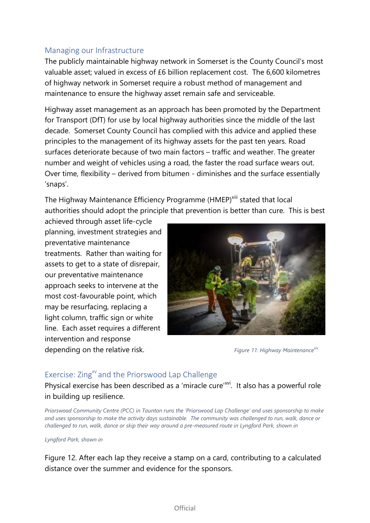## Managing our Infrastructure

The publicly maintainable highway network in Somerset is the County Council's most valuable asset; valued in excess of £6 billion replacement cost. The 6,600 kilometres of highway network in Somerset require a robust method of management and maintenance to ensure the highway asset remain safe and serviceable.

Highway asset management as an approach has been promoted by the Department for Transport (DfT) for use by local highway authorities since the middle of the last decade. Somerset County Council has complied with this advice and applied these principles to the management of its highway assets for the past ten years. Road surfaces deteriorate because of two main factors – traffic and weather. The greater number and weight of vehicles using a road, the faster the road surface wears out. Over time, flexibility – derived from bitumen - diminishes and the surface essentially 'snaps'.

The Highway Maintenance Efficiency Programme (HMEP)<sup>xiii</sup> stated that local authorities should adopt the principle that prevention is better than cure. This is best

achieved through asset life-cycle planning, investment strategies and preventative maintenance treatments. Rather than waiting for assets to get to a state of disrepair, our preventative maintenance approach seeks to intervene at the most cost-favourable point, which may be resurfacing, replacing a light column, traffic sign or white line. Each asset requires a different intervention and response depending on the relative risk. *Figure 11: Highway Maintenance*<sup>xiv</sup>



#### Exercise: Zing<sup>xv</sup> and the Priorswood Lap Challenge

Physical exercise has been described as a 'miracle cure'<sup>xvi</sup>. It also has a powerful role in building up resilience.

*Priorswood Community Centre (PCC) in Taunton runs the 'Priorswood Lap Challenge' and uses sponsorship to make and uses sponsorship to make the activity days sustainable. The community was challenged to run, walk, dance or challenged to run, walk, dance or skip their way around a pre-measured route in Lyngford Park, shown in* 

*Lyngford Park, shown in* 

Figure 12. After each lap they receive a stamp on a card, contributing to a calculated distance over the summer and evidence for the sponsors.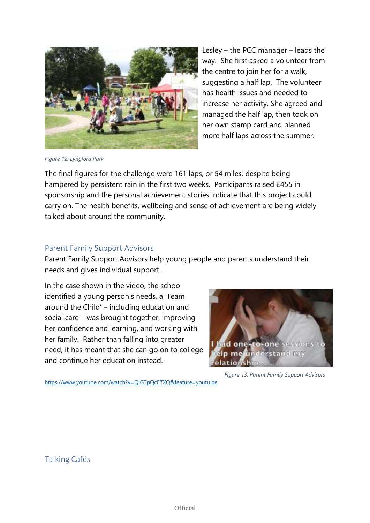

Lesley – the PCC manager – leads the way. She first asked a volunteer from the centre to join her for a walk, suggesting a half lap. The volunteer has health issues and needed to increase her activity. She agreed and managed the half lap, then took on her own stamp card and planned more half laps across the summer.

*Figure 12: Lyngford Park* 

The final figures for the challenge were 161 laps, or 54 miles, despite being hampered by persistent rain in the first two weeks. Participants raised £455 in sponsorship and the personal achievement stories indicate that this project could carry on. The health benefits, wellbeing and sense of achievement are being widely talked about around the community.

### Parent Family Support Advisors

Parent Family Support Advisors help young people and parents understand their needs and gives individual support.

In the case shown in the video, the school identified a young person's needs, a 'Team around the Child' – including education and social care – was brought together, improving her confidence and learning, and working with her family. Rather than falling into greater need, it has meant that she can go on to college and continue her education instead.



*Figure 13: Parent Family Support Advisors* 

https://www.youtube.com/watch?v=QIGTpQcE7XQ&feature=youtu.be

Talking Cafés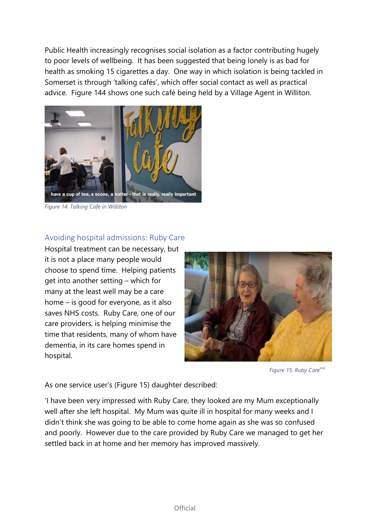Public Health increasingly recognises social isolation as a factor contributing hugely to poor levels of wellbeing. It has been suggested that being lonely is as bad for health as smoking 15 cigarettes a day. One way in which isolation is being tackled in Somerset is through 'talking cafés', which offer social contact as well as practical advice. Figure 144 shows one such café being held by a Village Agent in Williton.



*Figure 14: Talking Cafe in Williton* 

#### Avoiding hospital admissions: Ruby Care

Hospital treatment can be necessary, but it is not a place many people would choose to spend time. Helping patients get into another setting – which for many at the least well may be a care home – is good for everyone, as it also saves NHS costs. Ruby Care, one of our care providers, is helping minimise the time that residents, many of whom have dementia, in its care homes spend in hospital.



*Figure 15: Ruby Carexvii*

As one service user's (Figure 15) daughter described:

'I have been very impressed with Ruby Care, they looked are my Mum exceptionally well after she left hospital. My Mum was quite ill in hospital for many weeks and I didn't think she was going to be able to come home again as she was so confused and poorly. However due to the care provided by Ruby Care we managed to get her settled back in at home and her memory has improved massively.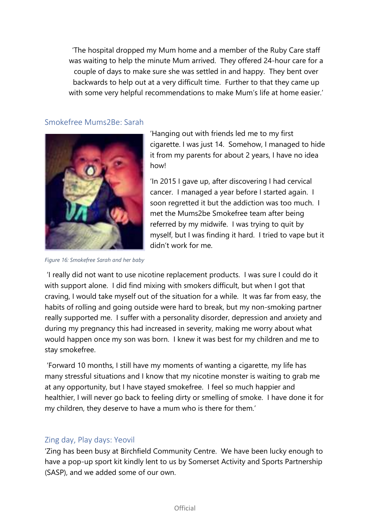'The hospital dropped my Mum home and a member of the Ruby Care staff was waiting to help the minute Mum arrived. They offered 24-hour care for a couple of days to make sure she was settled in and happy. They bent over backwards to help out at a very difficult time. Further to that they came up with some very helpful recommendations to make Mum's life at home easier.'

#### Smokefree Mums2Be: Sarah



'Hanging out with friends led me to my first cigarette. I was just 14. Somehow, I managed to hide it from my parents for about 2 years, I have no idea how!

'In 2015 I gave up, after discovering I had cervical cancer. I managed a year before I started again. I soon regretted it but the addiction was too much. I met the Mums2be Smokefree team after being referred by my midwife. I was trying to quit by myself, but I was finding it hard. I tried to vape but it didn't work for me.

*Figure 16: Smokefree Sarah and her baby* 

 'I really did not want to use nicotine replacement products. I was sure I could do it with support alone. I did find mixing with smokers difficult, but when I got that craving, I would take myself out of the situation for a while. It was far from easy, the habits of rolling and going outside were hard to break, but my non-smoking partner really supported me. I suffer with a personality disorder, depression and anxiety and during my pregnancy this had increased in severity, making me worry about what would happen once my son was born. I knew it was best for my children and me to stay smokefree.

 'Forward 10 months, I still have my moments of wanting a cigarette, my life has many stressful situations and I know that my nicotine monster is waiting to grab me at any opportunity, but I have stayed smokefree. I feel so much happier and healthier, I will never go back to feeling dirty or smelling of smoke. I have done it for my children, they deserve to have a mum who is there for them.'

### Zing day, Play days: Yeovil

'Zing has been busy at Birchfield Community Centre. We have been lucky enough to have a pop-up sport kit kindly lent to us by Somerset Activity and Sports Partnership (SASP), and we added some of our own.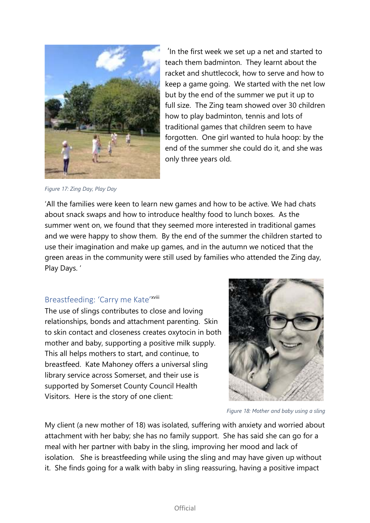

*Figure 17: Zing Day, Play Day* 

 'In the first week we set up a net and started to teach them badminton. They learnt about the racket and shuttlecock, how to serve and how to keep a game going. We started with the net low but by the end of the summer we put it up to full size. The Zing team showed over 30 children how to play badminton, tennis and lots of traditional games that children seem to have forgotten. One girl wanted to hula hoop: by the end of the summer she could do it, and she was only three years old.

'All the families were keen to learn new games and how to be active. We had chats about snack swaps and how to introduce healthy food to lunch boxes. As the summer went on, we found that they seemed more interested in traditional games and we were happy to show them. By the end of the summer the children started to use their imagination and make up games, and in the autumn we noticed that the green areas in the community were still used by families who attended the Zing day, Play Days. '

## Breastfeeding: 'Carry me Kate'<sup>xviii</sup>

The use of slings contributes to close and loving relationships, bonds and attachment parenting. Skin to skin contact and closeness creates oxytocin in both mother and baby, supporting a positive milk supply. This all helps mothers to start, and continue, to breastfeed. Kate Mahoney offers a universal sling library service across Somerset, and their use is supported by Somerset County Council Health Visitors. Here is the story of one client:



*Figure 18: Mother and baby using a sling* 

My client (a new mother of 18) was isolated, suffering with anxiety and worried about attachment with her baby; she has no family support. She has said she can go for a meal with her partner with baby in the sling, improving her mood and lack of isolation. She is breastfeeding while using the sling and may have given up without it. She finds going for a walk with baby in sling reassuring, having a positive impact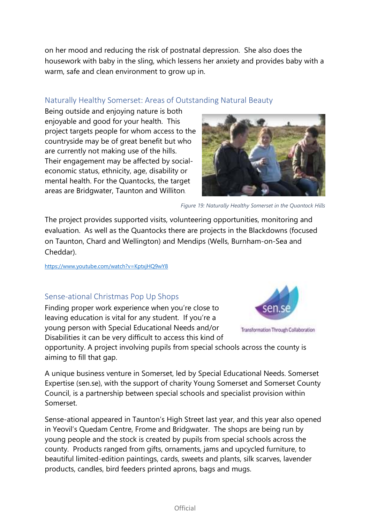on her mood and reducing the risk of postnatal depression. She also does the housework with baby in the sling, which lessens her anxiety and provides baby with a warm, safe and clean environment to grow up in.

## Naturally Healthy Somerset: Areas of Outstanding Natural Beauty

Being outside and enjoying nature is both enjoyable and good for your health. This project targets people for whom access to the countryside may be of great benefit but who are currently not making use of the hills. Their engagement may be affected by socialeconomic status, ethnicity, age, disability or mental health. For the Quantocks, the target areas are Bridgwater, Taunton and Williton*.* 



*Figure 19: Naturally Healthy Somerset in the Quantock Hills* 

The project provides supported visits, volunteering opportunities, monitoring and evaluation. As well as the Quantocks there are projects in the Blackdowns (focused on Taunton, Chard and Wellington) and Mendips (Wells, Burnham-on-Sea and Cheddar).

https://www.youtube.com/watch?v=KptxjHQ9wY8

## Sense-ational Christmas Pop Up Shops

Finding proper work experience when you're close to leaving education is vital for any student. If you're a young person with Special Educational Needs and/or Disabilities it can be very difficult to access this kind of



Transformation Through Collaboration

opportunity. A project involving pupils from special schools across the county is aiming to fill that gap.

A unique business venture in Somerset, led by Special Educational Needs. Somerset Expertise (sen.se), with the support of charity Young Somerset and Somerset County Council, is a partnership between special schools and specialist provision within Somerset.

Sense-ational appeared in Taunton's High Street last year, and this year also opened in Yeovil's Quedam Centre, Frome and Bridgwater. The shops are being run by young people and the stock is created by pupils from special schools across the county. Products ranged from gifts, ornaments, jams and upcycled furniture, to beautiful limited-edition paintings, cards, sweets and plants, silk scarves, lavender products, candles, bird feeders printed aprons, bags and mugs.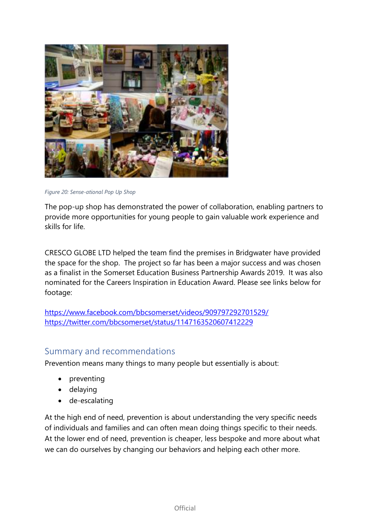

*Figure 20: Sense-ational Pop Up Shop* 

The pop-up shop has demonstrated the power of collaboration, enabling partners to provide more opportunities for young people to gain valuable work experience and skills for life.

CRESCO GLOBE LTD helped the team find the premises in Bridgwater have provided the space for the shop. The project so far has been a major success and was chosen as a finalist in the Somerset Education Business Partnership Awards 2019. It was also nominated for the Careers Inspiration in Education Award. Please see links below for footage:

https://www.facebook.com/bbcsomerset/videos/909797292701529/ https://twitter.com/bbcsomerset/status/1147163520607412229

## Summary and recommendations

Prevention means many things to many people but essentially is about:

- preventing
- delaying
- de-escalating

At the high end of need, prevention is about understanding the very specific needs of individuals and families and can often mean doing things specific to their needs. At the lower end of need, prevention is cheaper, less bespoke and more about what we can do ourselves by changing our behaviors and helping each other more.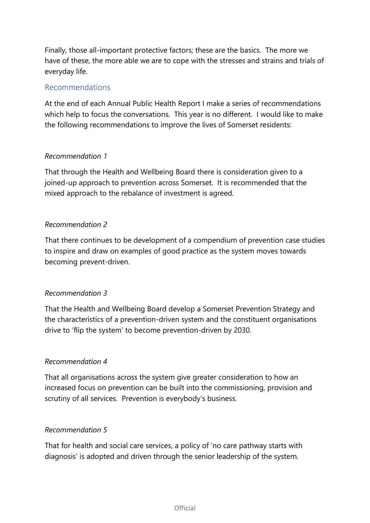Finally, those all-important protective factors; these are the basics. The more we have of these, the more able we are to cope with the stresses and strains and trials of everyday life.

#### Recommendations

At the end of each Annual Public Health Report I make a series of recommendations which help to focus the conversations. This year is no different. I would like to make the following recommendations to improve the lives of Somerset residents:

#### *Recommendation 1*

That through the Health and Wellbeing Board there is consideration given to a joined-up approach to prevention across Somerset. It is recommended that the mixed approach to the rebalance of investment is agreed.

#### *Recommendation 2*

That there continues to be development of a compendium of prevention case studies to inspire and draw on examples of good practice as the system moves towards becoming prevent-driven.

#### *Recommendation 3*

That the Health and Wellbeing Board develop a Somerset Prevention Strategy and the characteristics of a prevention-driven system and the constituent organisations drive to 'flip the system' to become prevention-driven by 2030.

#### *Recommendation 4*

That all organisations across the system give greater consideration to how an increased focus on prevention can be built into the commissioning, provision and scrutiny of all services. Prevention is everybody's business.

#### *Recommendation 5*

That for health and social care services, a policy of 'no care pathway starts with diagnosis' is adopted and driven through the senior leadership of the system.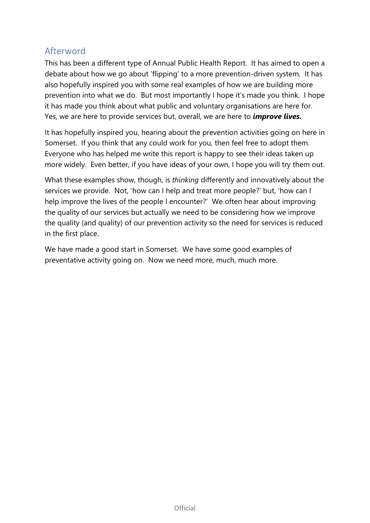## Afterword

This has been a different type of Annual Public Health Report. It has aimed to open a debate about how we go about 'flipping' to a more prevention-driven system. It has also hopefully inspired you with some real examples of how we are building more prevention into what we do. But most importantly I hope it's made you think. I hope it has made you think about what public and voluntary organisations are here for. Yes, we are here to provide services but, overall, we are here to *improve lives.*

It has hopefully inspired you, hearing about the prevention activities going on here in Somerset. If you think that any could work for you, then feel free to adopt them. Everyone who has helped me write this report is happy to see their ideas taken up more widely. Even better, if you have ideas of your own, I hope you will try them out.

What these examples show, though, is *thinking* differently and innovatively about the services we provide. Not, 'how can I help and treat more people?' but, 'how can I help improve the lives of the people I encounter?' We often hear about improving the quality of our services but actually we need to be considering how we improve the quality (and quality) of our prevention activity so the need for services is reduced in the first place.

We have made a good start in Somerset. We have some good examples of preventative activity going on. Now we need more, much, much more.